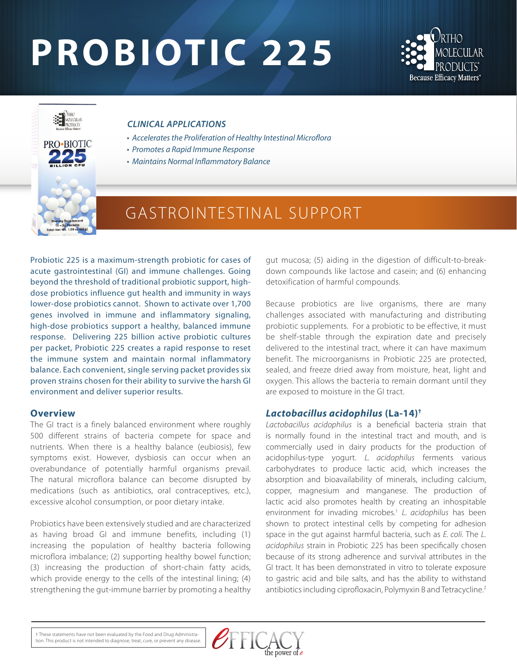# **PROBIOTIC 225**





#### *CLINICAL APPLICATIONS*

- *Accelerates the Proliferation of Healthy Intestinal Microflora*
- *Promotes a Rapid Immune Response*
- *Maintains Normal Inflammatory Balance*

## GASTROINTESTINAL SUPPORT

Probiotic 225 is a maximum-strength probiotic for cases of acute gastrointestinal (GI) and immune challenges. Going beyond the threshold of traditional probiotic support, highdose probiotics influence gut health and immunity in ways lower-dose probiotics cannot. Shown to activate over 1,700 genes involved in immune and inflammatory signaling, high-dose probiotics support a healthy, balanced immune response. Delivering 225 billion active probiotic cultures per packet, Probiotic 225 creates a rapid response to reset the immune system and maintain normal inflammatory balance. Each convenient, single serving packet provides six proven strains chosen for their ability to survive the harsh GI environment and deliver superior results.

#### **Overview**

The GI tract is a finely balanced environment where roughly 500 different strains of bacteria compete for space and nutrients. When there is a healthy balance (eubiosis), few symptoms exist. However, dysbiosis can occur when an overabundance of potentially harmful organisms prevail. The natural microflora balance can become disrupted by medications (such as antibiotics, oral contraceptives, etc.), excessive alcohol consumption, or poor dietary intake.

Probiotics have been extensively studied and are characterized as having broad GI and immune benefits, including (1) increasing the population of healthy bacteria following microflora imbalance; (2) supporting healthy bowel function; (3) increasing the production of short-chain fatty acids, which provide energy to the cells of the intestinal lining; (4) strengthening the gut-immune barrier by promoting a healthy

gut mucosa; (5) aiding in the digestion of difficult-to-breakdown compounds like lactose and casein; and (6) enhancing detoxification of harmful compounds.

Because probiotics are live organisms, there are many challenges associated with manufacturing and distributing probiotic supplements. For a probiotic to be effective, it must be shelf-stable through the expiration date and precisely delivered to the intestinal tract, where it can have maximum benefit. The microorganisms in Probiotic 225 are protected, sealed, and freeze dried away from moisture, heat, light and oxygen. This allows the bacteria to remain dormant until they are exposed to moisture in the GI tract.

#### *Lactobacillus acidophilus* **(La-14)†**

*Lactobacillus acidophilus* is a beneficial bacteria strain that is normally found in the intestinal tract and mouth, and is commercially used in dairy products for the production of acidophilus-type yogurt. *L. acidophilus* ferments various carbohydrates to produce lactic acid, which increases the absorption and bioavailability of minerals, including calcium, copper, magnesium and manganese. The production of lactic acid also promotes health by creating an inhospitable environment for invading microbes.1 *L. acidophilus* has been shown to protect intestinal cells by competing for adhesion space in the gut against harmful bacteria, such as *E. coli.* The *L. acidophilus* strain in Probiotic 225 has been specifically chosen because of its strong adherence and survival attributes in the GI tract. It has been demonstrated in vitro to tolerate exposure to gastric acid and bile salts, and has the ability to withstand antibiotics including ciprofloxacin, Polymyxin B and Tetracycline.<sup>2</sup>

† These statements have not been evaluated by the Food and Drug Administration. This product is not intended to diagnose, treat, cure, or prevent any disease.

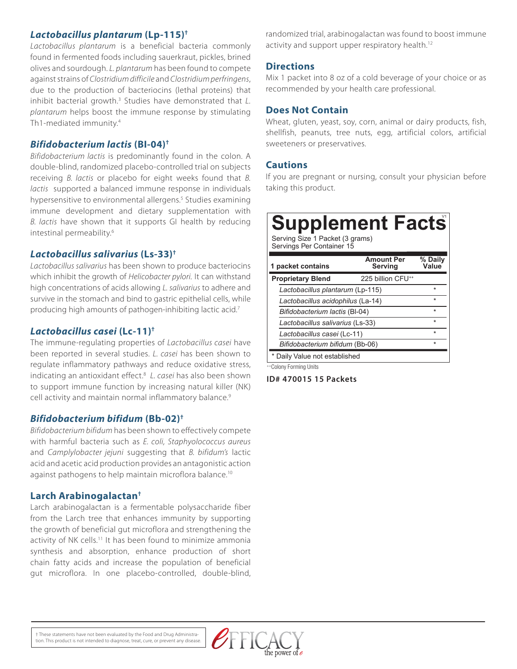#### *Lactobacillus plantarum* **(Lp-115)†**

*Lactobacillus plantarum* is a beneficial bacteria commonly found in fermented foods including sauerkraut, pickles, brined olives and sourdough. *L. plantarum* has been found to compete against strains of *Clostridium difficile* and *Clostridium perfringens*, due to the production of bacteriocins (lethal proteins) that inhibit bacterial growth.<sup>3</sup> Studies have demonstrated that *L*. *plantarum* helps boost the immune response by stimulating Th1-mediated immunity.4

#### *Bifidobacterium lactis* **(BI-04)†**

*Bifidobacterium lactis* is predominantly found in the colon. A double-blind, randomized placebo-controlled trial on subjects receiving *B. lactis* or placebo for eight weeks found that *B. lactis* supported a balanced immune response in individuals hypersensitive to environmental allergens.<sup>5</sup> Studies examining immune development and dietary supplementation with *B. lactis* have shown that it supports GI health by reducing intestinal permeability.<sup>6</sup>

#### *Lactobacillus salivarius* **(Ls-33)†**

*Lactobacillus salivarius* has been shown to produce bacteriocins which inhibit the growth of *Helicobacter pylori.* It can withstand high concentrations of acids allowing *L. salivarius* to adhere and survive in the stomach and bind to gastric epithelial cells, while producing high amounts of pathogen-inhibiting lactic acid.7

#### *Lactobacillus casei* **(Lc-11)†**

The immune-regulating properties of *Lactobacillus casei* have been reported in several studies. *L. casei* has been shown to regulate inflammatory pathways and reduce oxidative stress, indicating an antioxidant effect.8 *L. casei* has also been shown to support immune function by increasing natural killer (NK) cell activity and maintain normal inflammatory balance.<sup>9</sup>

#### *Bifidobacterium bifidum* **(Bb-02)†**

*Bifidobacterium bifidum* has been shown to effectively compete with harmful bacteria such as *E. coli, Staphyolococcus aureus* and *Camplylobacter jejuni* suggesting that *B. bifidum's* lactic acid and acetic acid production provides an antagonistic action against pathogens to help maintain microflora balance.<sup>10</sup>

#### **Larch Arabinogalactan†**

Larch arabinogalactan is a fermentable polysaccharide fiber from the Larch tree that enhances immunity by supporting the growth of beneficial gut microflora and strengthening the activity of NK cells.<sup>11</sup> It has been found to minimize ammonia synthesis and absorption, enhance production of short chain fatty acids and increase the population of beneficial gut microflora. In one placebo-controlled, double-blind,

randomized trial, arabinogalactan was found to boost immune activity and support upper respiratory health.<sup>12</sup>

#### **Directions**

Mix 1 packet into 8 oz of a cold beverage of your choice or as recommended by your health care professional.

#### **Does Not Contain**

Wheat, gluten, yeast, soy, corn, animal or dairy products, fish, shellfish, peanuts, tree nuts, egg, artificial colors, artificial sweeteners or preservatives.

#### **Cautions**

If you are pregnant or nursing, consult your physician before taking this product.

### **Supplement Facts** Serving Size 1 Packet (3 grams) Servings Per Container 15

| 1 packet contains                 | <b>Amount Per</b><br>Serving  | % Daily<br>Value |
|-----------------------------------|-------------------------------|------------------|
| <b>Proprietary Blend</b>          | 225 billion CFU <sup>++</sup> |                  |
| Lactobacillus plantarum (Lp-115)  |                               | $\star$          |
| Lactobacillus acidophilus (La-14) |                               | $\star$          |
| Bifidobacterium lactis (BI-04)    |                               | $\star$          |
| Lactobacillus salivarius (Ls-33)  |                               | $\star$          |
| Lactobacillus casei (Lc-11)       |                               | $\star$          |
| Bifidobacterium bifidum (Bb-06)   |                               | $\star$          |
| * Daily Value not established     |                               |                  |

++Colony Forming Units

**ID# 470015 15 Packets**